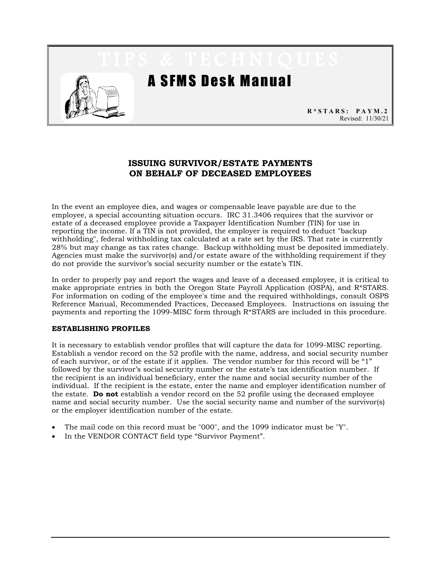

# **ISSUING SURVIVOR/ESTATE PAYMENTS ON BEHALF OF DECEASED EMPLOYEES**

In the event an employee dies, and wages or compensable leave payable are due to the employee, a special accounting situation occurs. IRC 31.3406 requires that the survivor or estate of a deceased employee provide a Taxpayer Identification Number (TIN) for use in reporting the income. If a TIN is not provided, the employer is required to deduct "backup withholding", federal withholding tax calculated at a rate set by the IRS. That rate is currently 28% but may change as tax rates change. Backup withholding must be deposited immediately. Agencies must make the survivor(s) and/or estate aware of the withholding requirement if they do not provide the survivor's social security number or the estate's TIN.

In order to properly pay and report the wages and leave of a deceased employee, it is critical to make appropriate entries in both the Oregon State Payroll Application (OSPA), and R\*STARS. For information on coding of the employee's time and the required withholdings, consult OSPS Reference Manual, Recommended Practices, Deceased Employees. Instructions on issuing the payments and reporting the 1099-MISC form through R\*STARS are included in this procedure.

# **ESTABLISHING PROFILES**

It is necessary to establish vendor profiles that will capture the data for 1099-MISC reporting. Establish a vendor record on the 52 profile with the name, address, and social security number of each survivor, or of the estate if it applies. The vendor number for this record will be "1" followed by the survivor's social security number or the estate's tax identification number. If the recipient is an individual beneficiary, enter the name and social security number of the individual. If the recipient is the estate, enter the name and employer identification number of the estate. **Do not** establish a vendor record on the 52 profile using the deceased employee name and social security number. Use the social security name and number of the survivor(s) or the employer identification number of the estate.

- The mail code on this record must be "000", and the 1099 indicator must be "Y".
- In the VENDOR CONTACT field type "Survivor Payment".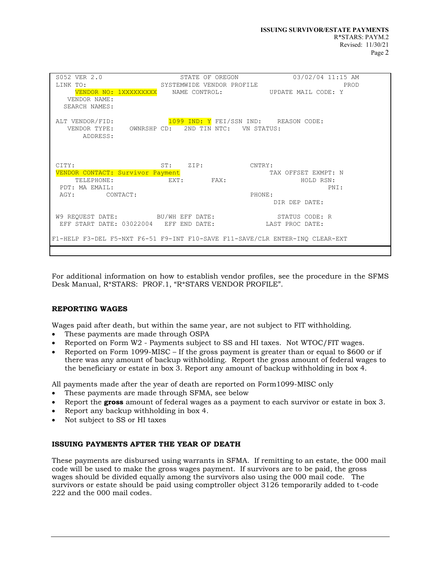| S052 VER 2.0                                                                 | 2.0 STATE OF OREGON<br>SYSTEMWIDE VENDOR PROFILE       |           |        | STATE OF OREGON 03/02/04 11:15 AM                       |
|------------------------------------------------------------------------------|--------------------------------------------------------|-----------|--------|---------------------------------------------------------|
| LINK TO:                                                                     |                                                        |           |        | PROD                                                    |
|                                                                              |                                                        |           |        | VENDOR NO: 1XXXXXXXXX NAME CONTROL: UPDATE MAIL CODE: Y |
| VENDOR NAME:                                                                 |                                                        |           |        |                                                         |
| SEARCH NAMES:                                                                |                                                        |           |        |                                                         |
|                                                                              |                                                        |           |        |                                                         |
| ALT VENDOR/FID: $1099$ IND: Y FEI/SSN IND: REASON CODE:                      |                                                        |           |        |                                                         |
|                                                                              | VENDOR TYPE: OWNRSHP CD: 2ND TIN NTC: VN STATUS:       |           |        |                                                         |
| ADDRESS:                                                                     |                                                        |           |        |                                                         |
|                                                                              |                                                        |           |        |                                                         |
|                                                                              |                                                        |           |        |                                                         |
|                                                                              |                                                        |           |        |                                                         |
| CITY:                                                                        | ST: ZIP: CNTRY:                                        |           |        |                                                         |
|                                                                              | VENDOR CONTACT: Survivor Payment                       |           |        | TAX OFFSET EXMPT: N                                     |
| TELEPHONE:                                                                   |                                                        | EXT: FAX: |        | HOLD RSN:                                               |
| PDT: MA EMAIL:                                                               |                                                        |           |        | PNI:                                                    |
| AGY: CONTACT:                                                                |                                                        |           | PHONE: |                                                         |
|                                                                              | DIR DEP DATE:                                          |           |        |                                                         |
|                                                                              |                                                        |           |        |                                                         |
|                                                                              |                                                        |           |        | W9 REQUEST DATE: BU/WH EFF DATE: STATUS CODE: R         |
|                                                                              | EFF START DATE: 03022004 EFF END DATE: LAST PROC DATE: |           |        |                                                         |
|                                                                              |                                                        |           |        |                                                         |
| F1-HELP F3-DEL F5-NXT F6-51 F9-INT F10-SAVE F11-SAVE/CLR ENTER-INO CLEAR-EXT |                                                        |           |        |                                                         |
|                                                                              |                                                        |           |        |                                                         |
|                                                                              |                                                        |           |        |                                                         |

For additional information on how to establish vendor profiles, see the procedure in the SFMS Desk Manual, R\*STARS: PROF.1, "R\*STARS VENDOR PROFILE".

# **REPORTING WAGES**

Wages paid after death, but within the same year, are not subject to FIT withholding.

- These payments are made through OSPA
- Reported on Form W2 Payments subject to SS and HI taxes. Not WTOC/FIT wages.
- Reported on Form 1099-MISC If the gross payment is greater than or equal to \$600 or if there was any amount of backup withholding. Report the gross amount of federal wages to the beneficiary or estate in box 3. Report any amount of backup withholding in box 4.

All payments made after the year of death are reported on Form1099-MISC only

- These payments are made through SFMA, see below
- Report the **gross** amount of federal wages as a payment to each survivor or estate in box 3.
- Report any backup withholding in box 4.
- Not subject to SS or HI taxes

# **ISSUING PAYMENTS AFTER THE YEAR OF DEATH**

These payments are disbursed using warrants in SFMA. If remitting to an estate, the 000 mail code will be used to make the gross wages payment. If survivors are to be paid, the gross wages should be divided equally among the survivors also using the 000 mail code. The survivors or estate should be paid using comptroller object 3126 temporarily added to t-code 222 and the 000 mail codes.